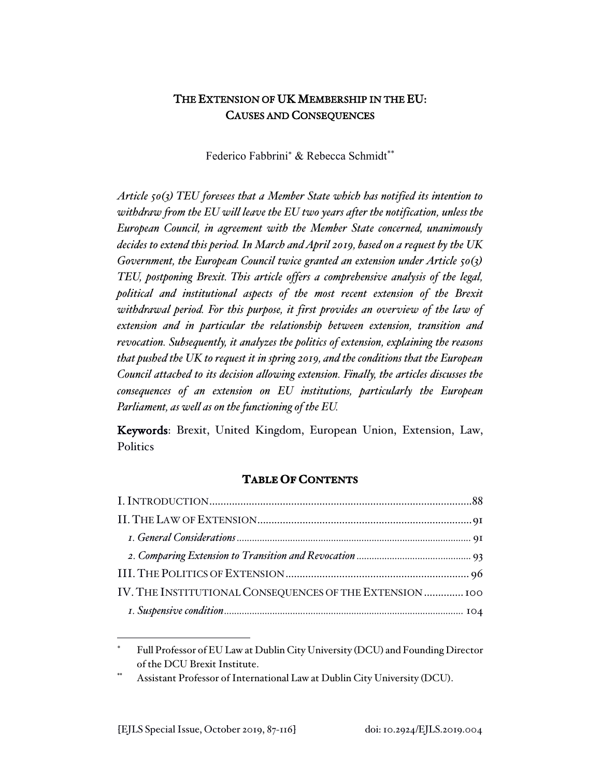# THE EXTENSION OF UK MEMBERSHIP IN THE EU: CAUSES AND CONSEQUENCES

Federico Fabbrini<sup>\*</sup> & Rebecca Schmidt<sup>\*\*</sup>

*Article 50(3) TEU foresees that a Member State which has notified its intention to withdraw from the EU will leave the EU two years after the notification, unless the European Council, in agreement with the Member State concerned, unanimously decides to extend this period. In March and April 2019, based on a request by the UK Government, the European Council twice granted an extension under Article 50(3) TEU, postponing Brexit. This article offers a comprehensive analysis of the legal, political and institutional aspects of the most recent extension of the Brexit withdrawal period. For this purpose, it first provides an overview of the law of extension and in particular the relationship between extension, transition and revocation. Subsequently, it analyzes the politics of extension, explaining the reasons that pushed the UK to request it in spring 2019, and the conditions that the European Council attached to its decision allowing extension. Finally, the articles discusses the consequences of an extension on EU institutions, particularly the European Parliament, as well as on the functioning of the EU.* 

Keywords: Brexit, United Kingdom, European Union, Extension, Law, **Politics** 

# **TABLE OF CONTENTS**

| IV. THE INSTITUTIONAL CONSEQUENCES OF THE EXTENSION  100 |
|----------------------------------------------------------|
|                                                          |

Full Professor of EU Law at Dublin City University (DCU) and Founding Director of the DCU Brexit Institute.

Assistant Professor of International Law at Dublin City University (DCU).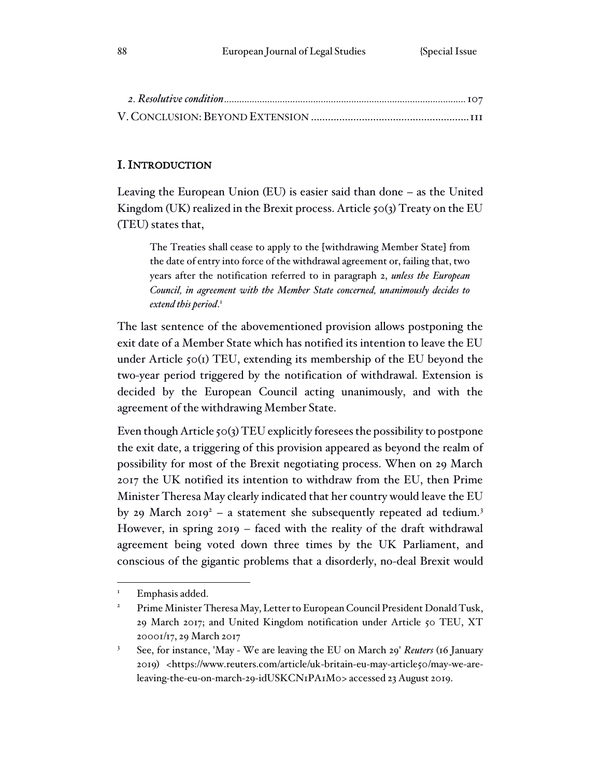## I. INTRODUCTION

Leaving the European Union (EU) is easier said than done – as the United Kingdom (UK) realized in the Brexit process. Article  $\zeta$  o(3) Treaty on the EU (TEU) states that,

The Treaties shall cease to apply to the [withdrawing Member State] from the date of entry into force of the withdrawal agreement or, failing that, two years after the notification referred to in paragraph 2, *unless the European Council, in agreement with the Member State concerned, unanimously decides to extend this period*. 1

The last sentence of the abovementioned provision allows postponing the exit date of a Member State which has notified its intention to leave the EU under Article  $\zeta$ <sup>o</sup>( $\zeta$ ) TEU, extending its membership of the EU beyond the two-year period triggered by the notification of withdrawal. Extension is decided by the European Council acting unanimously, and with the agreement of the withdrawing Member State.

Even though Article 50(3) TEU explicitly foresees the possibility to postpone the exit date, a triggering of this provision appeared as beyond the realm of possibility for most of the Brexit negotiating process. When on 29 March 2017 the UK notified its intention to withdraw from the EU, then Prime Minister Theresa May clearly indicated that her country would leave the EU by 29 March 2019<sup>2</sup> – a statement she subsequently repeated ad tedium.<sup>3</sup> However, in spring 2019 – faced with the reality of the draft withdrawal agreement being voted down three times by the UK Parliament, and conscious of the gigantic problems that a disorderly, no-deal Brexit would

Emphasis added.

<sup>2</sup> Prime Minister Theresa May, Letter to European Council President Donald Tusk, 29 March 2017; and United Kingdom notification under Article 50 TEU, XT 20001/17, 29 March 2017

<sup>3</sup> See, for instance, 'May - We are leaving the EU on March 29' *Reuters* (16 January 2019) <https://www.reuters.com/article/uk-britain-eu-may-article50/may-we-areleaving-the-eu-on-march-29-idUSKCN1PA1M0> accessed 23 August 2019.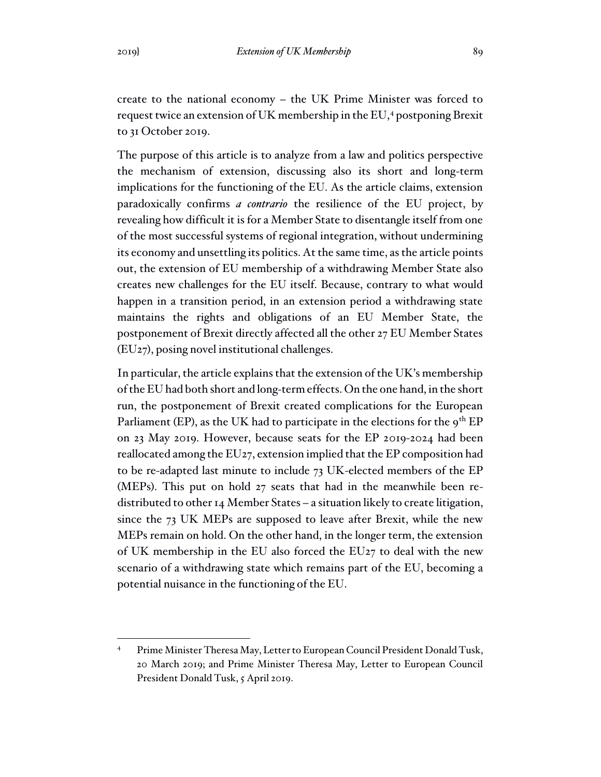create to the national economy – the UK Prime Minister was forced to request twice an extension of UK membership in the EU,<sup>4</sup> postponing Brexit to 31 October 2019.

The purpose of this article is to analyze from a law and politics perspective the mechanism of extension, discussing also its short and long-term implications for the functioning of the EU. As the article claims, extension paradoxically confirms *a contrario* the resilience of the EU project, by revealing how difficult it is for a Member State to disentangle itself from one of the most successful systems of regional integration, without undermining its economy and unsettling its politics. At the same time, as the article points out, the extension of EU membership of a withdrawing Member State also creates new challenges for the EU itself. Because, contrary to what would happen in a transition period, in an extension period a withdrawing state maintains the rights and obligations of an EU Member State, the postponement of Brexit directly affected all the other 27 EU Member States (EU27), posing novel institutional challenges.

In particular, the article explains that the extension of the UK's membership of the EU had both short and long-term effects. On the one hand, in the short run, the postponement of Brexit created complications for the European Parliament (EP), as the UK had to participate in the elections for the  $9^{th}$  EP on 23 May 2019. However, because seats for the EP 2019-2024 had been reallocated among the EU27, extension implied that the EP composition had to be re-adapted last minute to include 73 UK-elected members of the EP (MEPs). This put on hold 27 seats that had in the meanwhile been redistributed to other 14 Member States – a situation likely to create litigation, since the 73 UK MEPs are supposed to leave after Brexit, while the new MEPs remain on hold. On the other hand, in the longer term, the extension of UK membership in the EU also forced the EU27 to deal with the new scenario of a withdrawing state which remains part of the EU, becoming a potential nuisance in the functioning of the EU.

Prime Minister Theresa May, Letter to European Council President Donald Tusk, 20 March 2019; and Prime Minister Theresa May, Letter to European Council President Donald Tusk, 5 April 2019.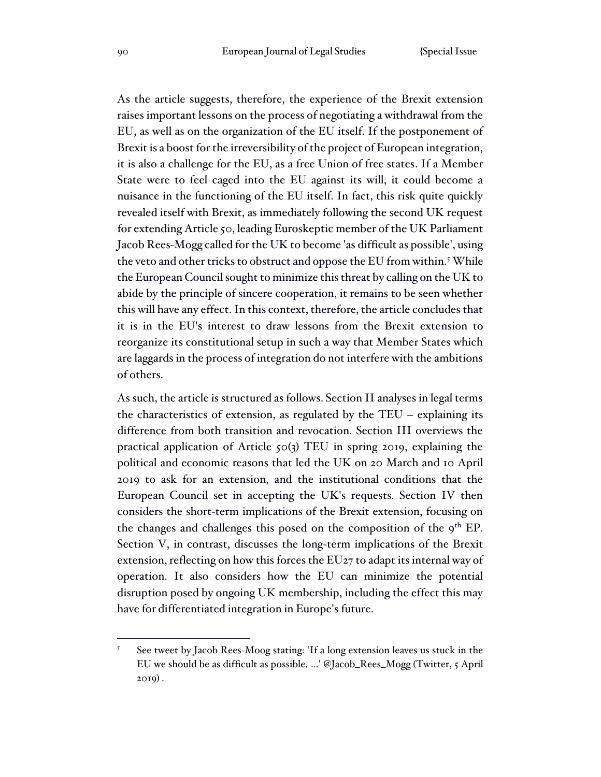As the article suggests, therefore, the experience of the Brexit extension raises important lessons on the process of negotiating a withdrawal from the EU, as well as on the organization of the EU itself. If the postponement of Brexit is a boost for the irreversibility of the project of European integration, it is also a challenge for the EU, as a free Union of free states. If a Member State were to feel caged into the EU against its will, it could become a nuisance in the functioning of the EU itself. In fact, this risk quite quickly revealed itself with Brexit, as immediately following the second UK request for extending Article 50, leading Euroskeptic member of the UK Parliament Jacob Rees-Mogg called for the UK to become 'as difficult as possible', using the veto and other tricks to obstruct and oppose the EU from within.<sup>5</sup> While the European Council sought to minimize this threat by calling on the UK to abide by the principle of sincere cooperation, it remains to be seen whether this will have any effect. In this context, therefore, the article concludes that it is in the EU's interest to draw lessons from the Brexit extension to reorganize its constitutional setup in such a way that Member States which are laggards in the process of integration do not interfere with the ambitions of others.

As such, the article is structured as follows. Section II analyses in legal terms the characteristics of extension, as regulated by the TEU – explaining its difference from both transition and revocation. Section III overviews the practical application of Article 50(3) TEU in spring 2019, explaining the political and economic reasons that led the UK on 20 March and 10 April 2019 to ask for an extension, and the institutional conditions that the European Council set in accepting the UK's requests. Section IV then considers the short-term implications of the Brexit extension, focusing on the changes and challenges this posed on the composition of the  $9<sup>th</sup>$  EP. Section V, in contrast, discusses the long-term implications of the Brexit extension, reflecting on how this forces the EU27 to adapt its internal way of operation. It also considers how the EU can minimize the potential disruption posed by ongoing UK membership, including the effect this may have for differentiated integration in Europe's future.

<sup>5</sup> See tweet by Jacob Rees-Moog stating: 'If a long extension leaves us stuck in the EU we should be as difficult as possible. …' @Jacob\_Rees\_Mogg (Twitter, 5 April 2019) .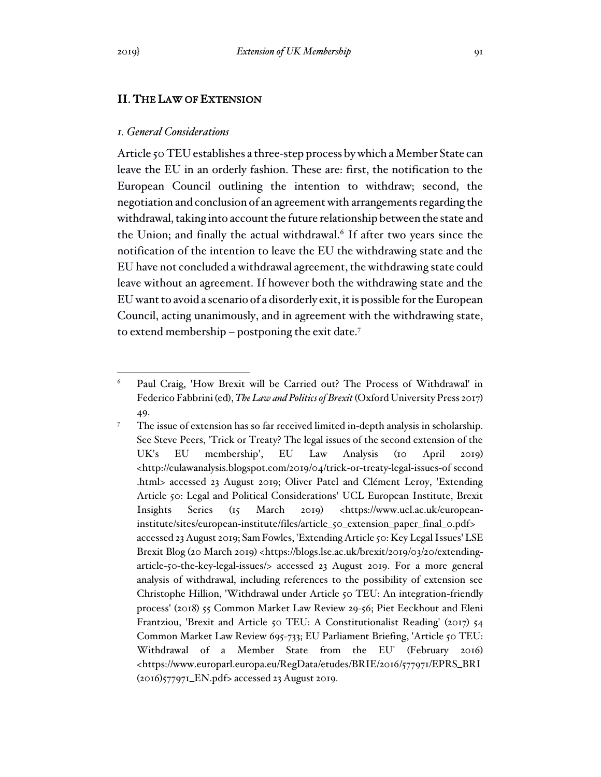## II. THE LAW OF EXTENSION

### *1. General Considerations*

Article 50 TEU establishes a three-step process by which a Member State can leave the EU in an orderly fashion. These are: first, the notification to the European Council outlining the intention to withdraw; second, the negotiation and conclusion of an agreement with arrangements regarding the withdrawal, taking into account the future relationship between the state and the Union; and finally the actual withdrawal.<sup>6</sup> If after two years since the notification of the intention to leave the EU the withdrawing state and the EU have not concluded a withdrawal agreement, the withdrawing state could leave without an agreement. If however both the withdrawing state and the EU want to avoid a scenario of a disorderly exit, it is possible for the European Council, acting unanimously, and in agreement with the withdrawing state, to extend membership – postponing the exit date.<sup>7</sup>

<sup>6</sup> Paul Craig, 'How Brexit will be Carried out? The Process of Withdrawal' in Federico Fabbrini (ed),*The Law and Politics of Brexit* (Oxford University Press 2017) 49.

<sup>&</sup>lt;sup>7</sup> The issue of extension has so far received limited in-depth analysis in scholarship. See Steve Peers, 'Trick or Treaty? The legal issues of the second extension of the UK's EU membership', EU Law Analysis (10 April 2019) <http://eulawanalysis.blogspot.com/2019/04/trick-or-treaty-legal-issues-of second .html> accessed 23 August 2019; Oliver Patel and Clément Leroy, 'Extending Article 50: Legal and Political Considerations' UCL European Institute, Brexit Insights Series (15 March 2019) <https://www.ucl.ac.uk/europeaninstitute/sites/european-institute/files/article\_50\_extension\_paper\_final\_0.pdf> accessed 23 August 2019; Sam Fowles, 'Extending Article 50: Key Legal Issues' LSE Brexit Blog (20 March 2019) <https://blogs.lse.ac.uk/brexit/2019/03/20/extendingarticle-50-the-key-legal-issues/> accessed 23 August 2019. For a more general analysis of withdrawal, including references to the possibility of extension see Christophe Hillion, 'Withdrawal under Article 50 TEU: An integration-friendly process' (2018) 55 Common Market Law Review 29-56; Piet Eeckhout and Eleni Frantziou, 'Brexit and Article 50 TEU: A Constitutionalist Reading' (2017) 54 Common Market Law Review 695-733; EU Parliament Briefing, 'Article 50 TEU: Withdrawal of a Member State from the EU' (February 2016) <https://www.europarl.europa.eu/RegData/etudes/BRIE/2016/577971/EPRS\_BRI (2016)577971\_EN.pdf> accessed 23 August 2019.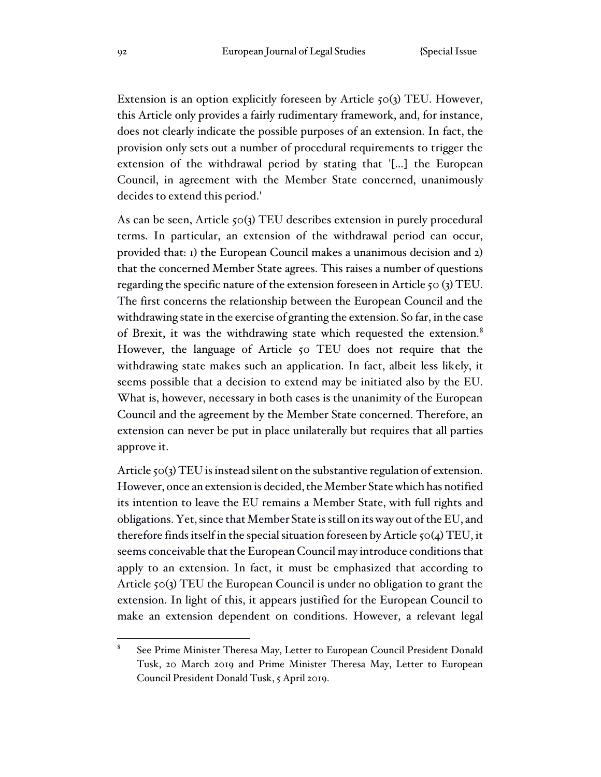Extension is an option explicitly foreseen by Article 50(3) TEU. However, this Article only provides a fairly rudimentary framework, and, for instance, does not clearly indicate the possible purposes of an extension. In fact, the provision only sets out a number of procedural requirements to trigger the extension of the withdrawal period by stating that '[…] the European Council, in agreement with the Member State concerned, unanimously decides to extend this period.'

As can be seen, Article 50(3) TEU describes extension in purely procedural terms. In particular, an extension of the withdrawal period can occur, provided that: 1) the European Council makes a unanimous decision and 2) that the concerned Member State agrees. This raises a number of questions regarding the specific nature of the extension foreseen in Article 50 (3) TEU. The first concerns the relationship between the European Council and the withdrawing state in the exercise of granting the extension. So far, in the case of Brexit, it was the withdrawing state which requested the extension.<sup>8</sup> However, the language of Article 50 TEU does not require that the withdrawing state makes such an application. In fact, albeit less likely, it seems possible that a decision to extend may be initiated also by the EU. What is, however, necessary in both cases is the unanimity of the European Council and the agreement by the Member State concerned. Therefore, an extension can never be put in place unilaterally but requires that all parties approve it.

Article 50(3) TEU is instead silent on the substantive regulation of extension. However, once an extension is decided, the Member State which has notified its intention to leave the EU remains a Member State, with full rights and obligations. Yet, since that Member State is still on its way out of the EU, and therefore finds itself in the special situation foreseen by Article 50(4) TEU, it seems conceivable that the European Council may introduce conditions that apply to an extension. In fact, it must be emphasized that according to Article 50(3) TEU the European Council is under no obligation to grant the extension. In light of this, it appears justified for the European Council to make an extension dependent on conditions. However, a relevant legal

<sup>8</sup> See Prime Minister Theresa May, Letter to European Council President Donald Tusk, 20 March 2019 and Prime Minister Theresa May, Letter to European Council President Donald Tusk, 5 April 2019.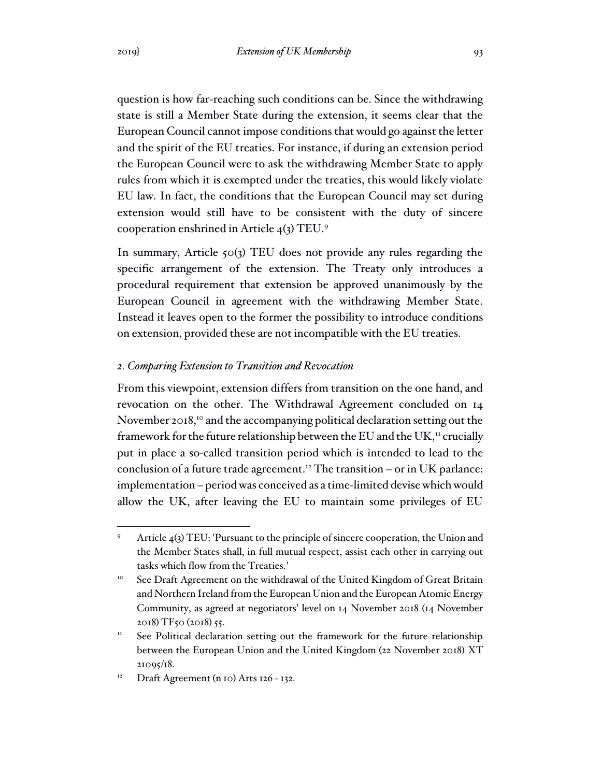question is how far-reaching such conditions can be. Since the withdrawing state is still a Member State during the extension, it seems clear that the European Council cannot impose conditions that would go against the letter and the spirit of the EU treaties. For instance, if during an extension period the European Council were to ask the withdrawing Member State to apply rules from which it is exempted under the treaties, this would likely violate EU law. In fact, the conditions that the European Council may set during extension would still have to be consistent with the duty of sincere cooperation enshrined in Article 4(3) TEU.<sup>9</sup>

In summary, Article 50(3) TEU does not provide any rules regarding the specific arrangement of the extension. The Treaty only introduces a procedural requirement that extension be approved unanimously by the European Council in agreement with the withdrawing Member State. Instead it leaves open to the former the possibility to introduce conditions on extension, provided these are not incompatible with the EU treaties.

## *2. Comparing Extension to Transition and Revocation*

From this viewpoint, extension differs from transition on the one hand, and revocation on the other. The Withdrawal Agreement concluded on 14 November 2018,<sup>10</sup> and the accompanying political declaration setting out the framework for the future relationship between the EU and the UK,<sup>11</sup> crucially put in place a so-called transition period which is intended to lead to the conclusion of a future trade agreement.<sup>12</sup> The transition – or in UK parlance: implementation – period was conceived as a time-limited devise which would allow the UK, after leaving the EU to maintain some privileges of EU

Article 4(3) TEU: 'Pursuant to the principle of sincere cooperation, the Union and the Member States shall, in full mutual respect, assist each other in carrying out tasks which flow from the Treaties.'

<sup>&</sup>lt;sup>10</sup> See Draft Agreement on the withdrawal of the United Kingdom of Great Britain and Northern Ireland from the European Union and the European Atomic Energy Community, as agreed at negotiators' level on 14 November 2018 (14 November 2018) TF50 (2018) 55.

<sup>&</sup>lt;sup>11</sup> See Political declaration setting out the framework for the future relationship between the European Union and the United Kingdom (22 November 2018) XT 21095/18.

 $12$  Draft Agreement (n 10) Arts 126 - 132.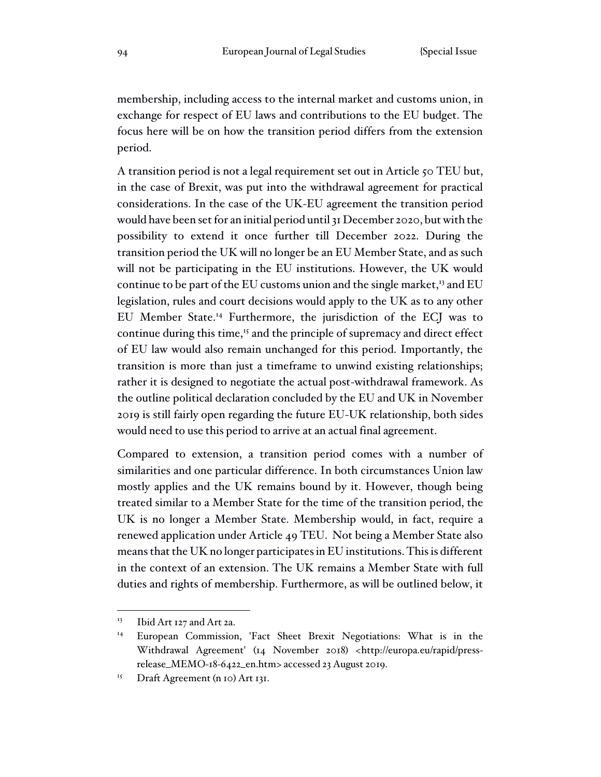membership, including access to the internal market and customs union, in exchange for respect of EU laws and contributions to the EU budget. The focus here will be on how the transition period differs from the extension period.

A transition period is not a legal requirement set out in Article 50 TEU but, in the case of Brexit, was put into the withdrawal agreement for practical considerations. In the case of the UK-EU agreement the transition period would have been set for an initial period until 31 December 2020, but with the possibility to extend it once further till December 2022. During the transition period the UK will no longer be an EU Member State, and as such will not be participating in the EU institutions. However, the UK would continue to be part of the EU customs union and the single market,<sup>13</sup> and EU legislation, rules and court decisions would apply to the UK as to any other EU Member State.<sup>14</sup> Furthermore, the jurisdiction of the ECJ was to continue during this time,<sup>15</sup> and the principle of supremacy and direct effect of EU law would also remain unchanged for this period. Importantly, the transition is more than just a timeframe to unwind existing relationships; rather it is designed to negotiate the actual post-withdrawal framework. As the outline political declaration concluded by the EU and UK in November 2019 is still fairly open regarding the future EU-UK relationship, both sides would need to use this period to arrive at an actual final agreement.

Compared to extension, a transition period comes with a number of similarities and one particular difference. In both circumstances Union law mostly applies and the UK remains bound by it. However, though being treated similar to a Member State for the time of the transition period, the UK is no longer a Member State. Membership would, in fact, require a renewed application under Article 49 TEU. Not being a Member State also means that the UK no longer participates in EU institutions. This is different in the context of an extension. The UK remains a Member State with full duties and rights of membership. Furthermore, as will be outlined below, it

<sup>&</sup>lt;sup>13</sup> Ibid Art 127 and Art 2a.

<sup>&</sup>lt;sup>14</sup> European Commission, 'Fact Sheet Brexit Negotiations: What is in the Withdrawal Agreement' (14 November 2018) <http://europa.eu/rapid/pressrelease\_MEMO-18-6422\_en.htm> accessed 23 August 2019.

<sup>&</sup>lt;sup>15</sup> Draft Agreement (n 10) Art 131.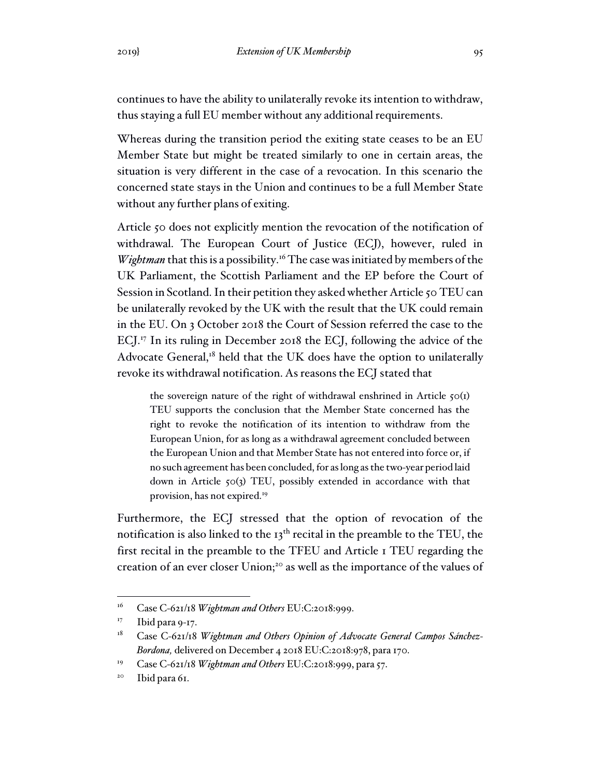continues to have the ability to unilaterally revoke its intention to withdraw, thus staying a full EU member without any additional requirements.

Whereas during the transition period the exiting state ceases to be an EU Member State but might be treated similarly to one in certain areas, the situation is very different in the case of a revocation. In this scenario the concerned state stays in the Union and continues to be a full Member State without any further plans of exiting.

Article 50 does not explicitly mention the revocation of the notification of withdrawal. The European Court of Justice (ECJ), however, ruled in *Wightman* that this is a possibility.<sup>16</sup> The case was initiated by members of the UK Parliament, the Scottish Parliament and the EP before the Court of Session in Scotland. In their petition they asked whether Article 50 TEU can be unilaterally revoked by the UK with the result that the UK could remain in the EU. On 3 October 2018 the Court of Session referred the case to the ECJ.<sup>17</sup> In its ruling in December 2018 the ECJ, following the advice of the Advocate General,<sup>18</sup> held that the UK does have the option to unilaterally revoke its withdrawal notification. As reasons the ECJ stated that

the sovereign nature of the right of withdrawal enshrined in Article  $50(I)$ TEU supports the conclusion that the Member State concerned has the right to revoke the notification of its intention to withdraw from the European Union, for as long as a withdrawal agreement concluded between the European Union and that Member State has not entered into force or, if no such agreement has been concluded, for as long as the two-year period laid down in Article 50(3) TEU, possibly extended in accordance with that provision, has not expired.<sup>19</sup>

Furthermore, the ECJ stressed that the option of revocation of the notification is also linked to the 13<sup>th</sup> recital in the preamble to the TEU, the first recital in the preamble to the TFEU and Article 1 TEU regarding the creation of an ever closer Union;<sup>20</sup> as well as the importance of the values of

<sup>16</sup> Case C-621/18 *Wightman and Others* EU:C:2018:999.

 $17$  Ibid para 9-17.

<sup>&</sup>lt;sup>18</sup> Case C-621/18 *Wightman and Others Opinion of Advocate General Campos Sánchez-Bordona,* delivered on December 4 2018 EU:C:2018:978, para 170.

<sup>19</sup> Case C-621/18 *Wightman and Others* EU:C:2018:999, para 57.

<sup>&</sup>lt;sup>20</sup> Ibid para 61.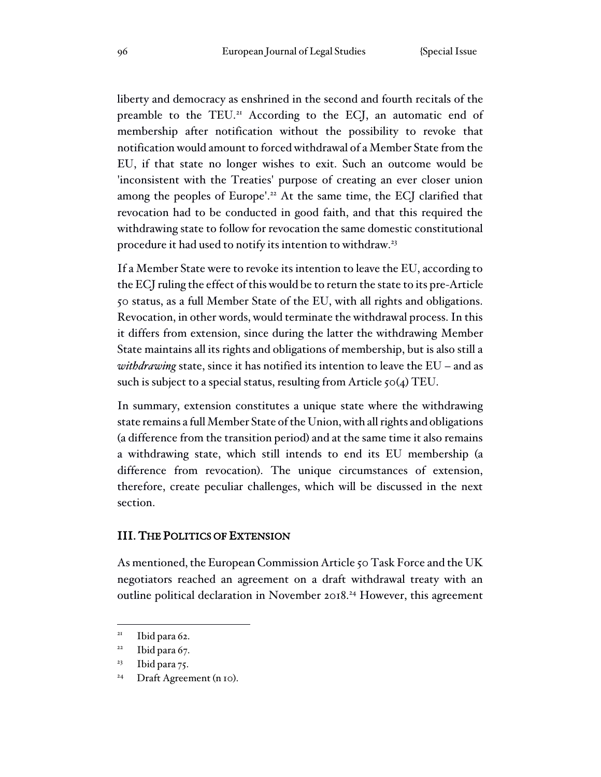liberty and democracy as enshrined in the second and fourth recitals of the preamble to the TEU.<sup>21</sup> According to the ECJ, an automatic end of membership after notification without the possibility to revoke that notification would amount to forced withdrawal of a Member State from the EU, if that state no longer wishes to exit. Such an outcome would be 'inconsistent with the Treaties' purpose of creating an ever closer union among the peoples of Europe'.<sup>22</sup> At the same time, the ECJ clarified that revocation had to be conducted in good faith, and that this required the withdrawing state to follow for revocation the same domestic constitutional procedure it had used to notify its intention to withdraw.<sup>23</sup>

If a Member State were to revoke its intention to leave the EU, according to the ECJ ruling the effect of this would be to return the state to its pre-Article 50 status, as a full Member State of the EU, with all rights and obligations. Revocation, in other words, would terminate the withdrawal process. In this it differs from extension, since during the latter the withdrawing Member State maintains all its rights and obligations of membership, but is also still a *withdrawing* state, since it has notified its intention to leave the EU – and as such is subject to a special status, resulting from Article 50(4) TEU.

In summary, extension constitutes a unique state where the withdrawing state remains a full Member State of the Union, with all rights and obligations (a difference from the transition period) and at the same time it also remains a withdrawing state, which still intends to end its EU membership (a difference from revocation). The unique circumstances of extension, therefore, create peculiar challenges, which will be discussed in the next section.

### III. THE POLITICS OF EXTENSION

As mentioned, the European Commission Article 50 Task Force and the UK negotiators reached an agreement on a draft withdrawal treaty with an outline political declaration in November 2018.<sup>24</sup> However, this agreement

<sup>&</sup>lt;sup>21</sup> Ibid para 62.

 $22$  Ibid para 67.

 $23$  Ibid para 75.

<sup>&</sup>lt;sup>24</sup> Draft Agreement (n 10).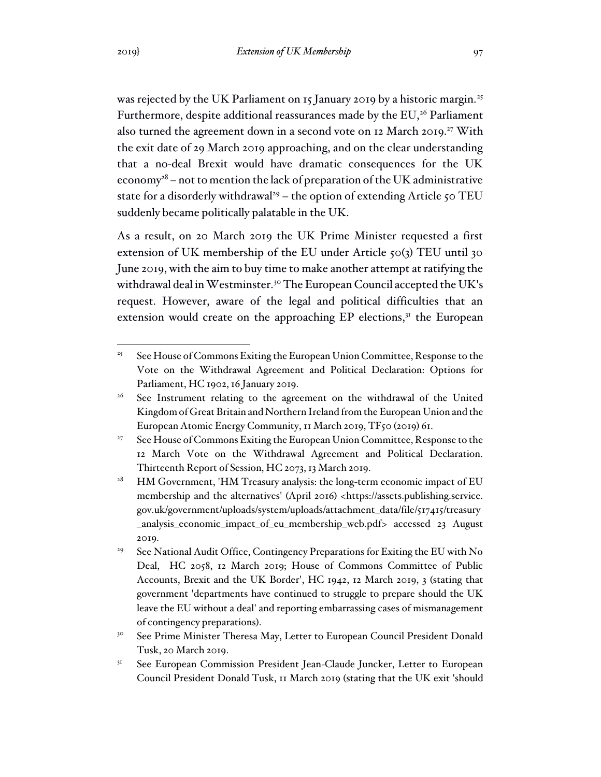was rejected by the UK Parliament on 15 January 2019 by a historic margin.<sup>25</sup> Furthermore, despite additional reassurances made by the EU,<sup>26</sup> Parliament also turned the agreement down in a second vote on 12 March 2019.<sup>27</sup> With the exit date of 29 March 2019 approaching, and on the clear understanding that a no-deal Brexit would have dramatic consequences for the UK economy<sup>28</sup> – not to mention the lack of preparation of the UK administrative state for a disorderly withdrawal<sup>29</sup> – the option of extending Article 50 TEU suddenly became politically palatable in the UK.

As a result, on 20 March 2019 the UK Prime Minister requested a first extension of UK membership of the EU under Article 50(3) TEU until 30 June 2019, with the aim to buy time to make another attempt at ratifying the withdrawal deal in Westminster.<sup>30</sup> The European Council accepted the UK's request. However, aware of the legal and political difficulties that an extension would create on the approaching  $EP$  elections, $3<sup>T</sup>$  the European

<sup>&</sup>lt;sup>25</sup> See House of Commons Exiting the European Union Committee, Response to the Vote on the Withdrawal Agreement and Political Declaration: Options for Parliament, HC 1902, 16 January 2019.

<sup>&</sup>lt;sup>26</sup> See Instrument relating to the agreement on the withdrawal of the United Kingdom of Great Britain and Northern Ireland from the European Union and the European Atomic Energy Community, 11 March 2019, TF50 (2019) 61.

<sup>&</sup>lt;sup>27</sup> See House of Commons Exiting the European Union Committee, Response to the 12 March Vote on the Withdrawal Agreement and Political Declaration. Thirteenth Report of Session, HC 2073, 13 March 2019.

<sup>&</sup>lt;sup>28</sup> HM Government, 'HM Treasury analysis: the long-term economic impact of EU membership and the alternatives' (April 2016) <https://assets.publishing.service. gov.uk/government/uploads/system/uploads/attachment\_data/file/517415/treasury \_analysis\_economic\_impact\_of\_eu\_membership\_web.pdf> accessed 23 August 2019.

<sup>&</sup>lt;sup>29</sup> See National Audit Office, Contingency Preparations for Exiting the EU with No Deal, HC 2058, 12 March 2019; House of Commons Committee of Public Accounts, Brexit and the UK Border', HC 1942, 12 March 2019, 3 (stating that government 'departments have continued to struggle to prepare should the UK leave the EU without a deal' and reporting embarrassing cases of mismanagement of contingency preparations).

<sup>&</sup>lt;sup>30</sup> See Prime Minister Theresa May, Letter to European Council President Donald Tusk, 20 March 2019.

<sup>&</sup>lt;sup>31</sup> See European Commission President Jean-Claude Juncker, Letter to European Council President Donald Tusk, 11 March 2019 (stating that the UK exit 'should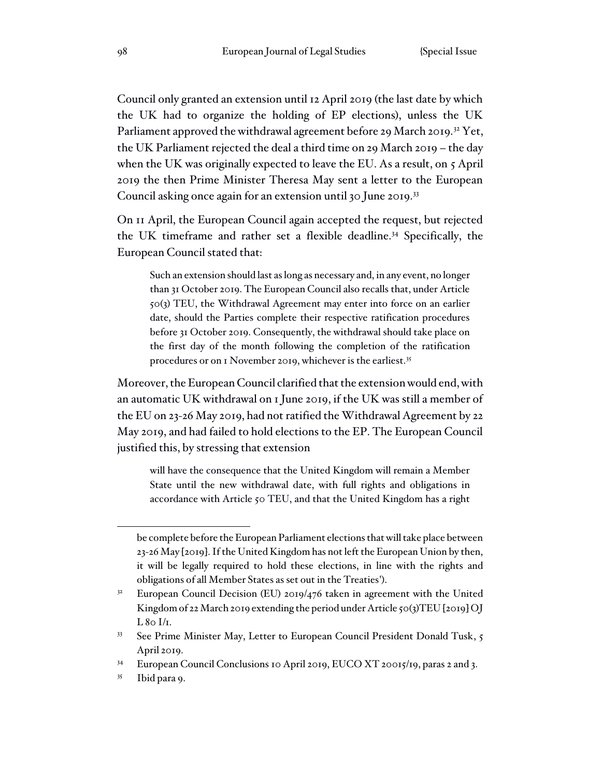Council only granted an extension until 12 April 2019 (the last date by which the UK had to organize the holding of EP elections), unless the UK Parliament approved the withdrawal agreement before 29 March 2019.<sup>32</sup> Yet, the UK Parliament rejected the deal a third time on 29 March 2019 – the day when the UK was originally expected to leave the EU. As a result, on 5 April 2019 the then Prime Minister Theresa May sent a letter to the European Council asking once again for an extension until 30 June 2019.<sup>33</sup>

On 11 April, the European Council again accepted the request, but rejected the UK timeframe and rather set a flexible deadline.<sup>34</sup> Specifically, the European Council stated that:

Such an extension should last as long as necessary and, in any event, no longer than 31 October 2019. The European Council also recalls that, under Article 50(3) TEU, the Withdrawal Agreement may enter into force on an earlier date, should the Parties complete their respective ratification procedures before 31 October 2019. Consequently, the withdrawal should take place on the first day of the month following the completion of the ratification procedures or on 1 November 2019, whichever is the earliest.<sup>35</sup>

Moreover, the European Council clarified that the extension would end, with an automatic UK withdrawal on 1 June 2019, if the UK was still a member of the EU on 23-26 May 2019, had not ratified the Withdrawal Agreement by 22 May 2019, and had failed to hold elections to the EP. The European Council justified this, by stressing that extension

will have the consequence that the United Kingdom will remain a Member State until the new withdrawal date, with full rights and obligations in accordance with Article 50 TEU, and that the United Kingdom has a right

be complete before the European Parliament elections that will take place between 23-26 May [2019]. Ifthe United Kingdom has not left the European Union by then, it will be legally required to hold these elections, in line with the rights and obligations of all Member States as set out in the Treaties').

European Council Decision (EU) 2019/476 taken in agreement with the United Kingdom of 22 March 2019 extending the period under Article  $50(3)TEU$  [2019] OJ  $L 80$  I/I.

<sup>&</sup>lt;sup>33</sup> See Prime Minister May, Letter to European Council President Donald Tusk, 5 April 2019.

<sup>&</sup>lt;sup>34</sup> European Council Conclusions 10 April 2019, EUCO XT 20015/19, paras 2 and 3.

<sup>35</sup> Ibid para 9.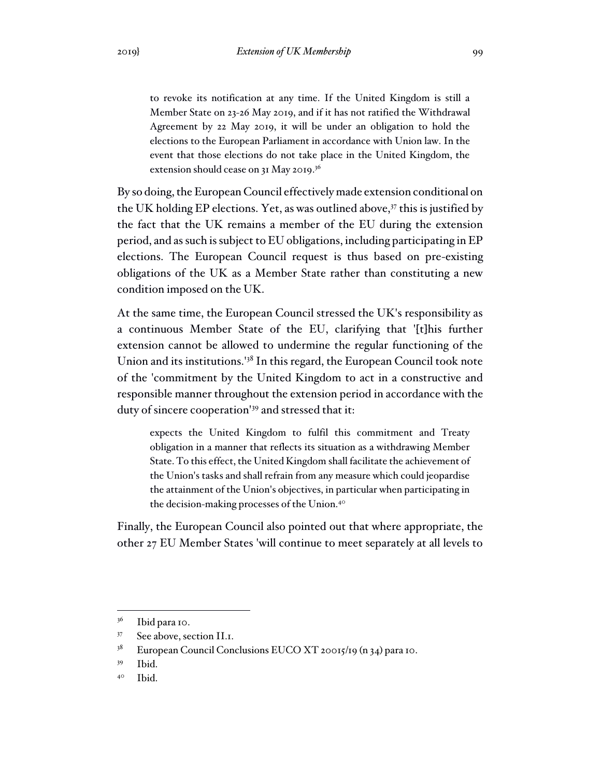to revoke its notification at any time. If the United Kingdom is still a Member State on 23-26 May 2019, and if it has not ratified the Withdrawal Agreement by 22 May 2019, it will be under an obligation to hold the elections to the European Parliament in accordance with Union law. In the event that those elections do not take place in the United Kingdom, the extension should cease on 31 May 2019.<sup>36</sup>

By so doing, the European Council effectively made extension conditional on the UK holding EP elections. Yet, as was outlined above, $37$  this is justified by the fact that the UK remains a member of the EU during the extension period, and as such is subject to EU obligations, including participating in EP elections. The European Council request is thus based on pre-existing obligations of the UK as a Member State rather than constituting a new condition imposed on the UK.

At the same time, the European Council stressed the UK's responsibility as a continuous Member State of the EU, clarifying that '[t]his further extension cannot be allowed to undermine the regular functioning of the Union and its institutions.'<sup>38</sup> In this regard, the European Council took note of the 'commitment by the United Kingdom to act in a constructive and responsible manner throughout the extension period in accordance with the duty of sincere cooperation'<sup>39</sup> and stressed that it:

expects the United Kingdom to fulfil this commitment and Treaty obligation in a manner that reflects its situation as a withdrawing Member State. To this effect, the United Kingdom shall facilitate the achievement of the Union's tasks and shall refrain from any measure which could jeopardise the attainment of the Union's objectives, in particular when participating in the decision-making processes of the Union.<sup>40</sup>

Finally, the European Council also pointed out that where appropriate, the other 27 EU Member States 'will continue to meet separately at all levels to

 $3<sup>6</sup>$  Ibid para 10.

<sup>37</sup> See above, section II.1.

<sup>&</sup>lt;sup>38</sup> European Council Conclusions EUCO XT 20015/19 (n 34) para 10.

<sup>39</sup> Ibid.

<sup>40</sup> Ibid.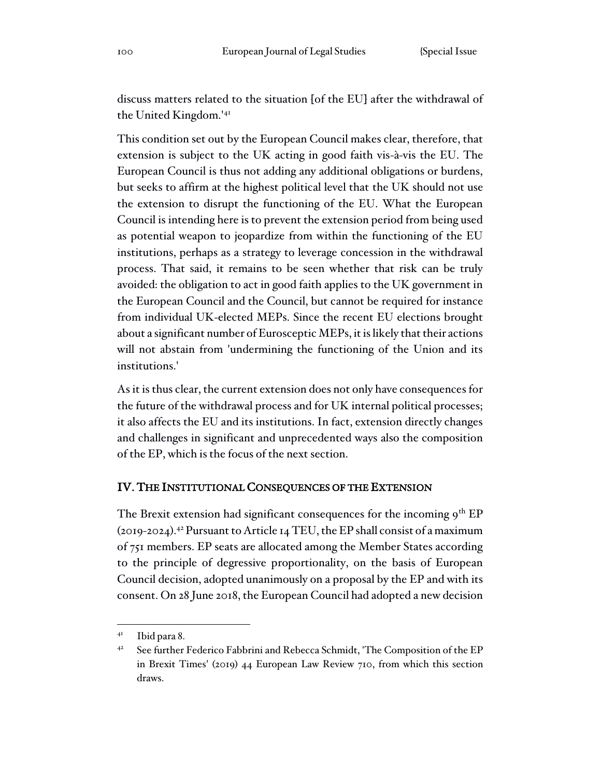discuss matters related to the situation [of the EU] after the withdrawal of the United Kingdom.'<sup>41</sup>

This condition set out by the European Council makes clear, therefore, that extension is subject to the UK acting in good faith vis-à-vis the EU. The European Council is thus not adding any additional obligations or burdens, but seeks to affirm at the highest political level that the UK should not use the extension to disrupt the functioning of the EU. What the European Council is intending here is to prevent the extension period from being used as potential weapon to jeopardize from within the functioning of the EU institutions, perhaps as a strategy to leverage concession in the withdrawal process. That said, it remains to be seen whether that risk can be truly avoided: the obligation to act in good faith applies to the UK government in the European Council and the Council, but cannot be required for instance from individual UK-elected MEPs. Since the recent EU elections brought about a significant number of Eurosceptic MEPs, it is likely that their actions will not abstain from 'undermining the functioning of the Union and its institutions.'

As it is thus clear, the current extension does not only have consequences for the future of the withdrawal process and for UK internal political processes; it also affects the EU and its institutions. In fact, extension directly changes and challenges in significant and unprecedented ways also the composition of the EP, which is the focus of the next section.

## IV. THE INSTITUTIONAL CONSEQUENCES OF THE EXTENSION

The Brexit extension had significant consequences for the incoming  $9<sup>th</sup> EP$ (2019-2024).<sup>42</sup> Pursuant to Article 14 TEU, the EP shall consist of a maximum of 751 members. EP seats are allocated among the Member States according to the principle of degressive proportionality, on the basis of European Council decision, adopted unanimously on a proposal by the EP and with its consent. On 28 June 2018, the European Council had adopted a new decision

<sup>41</sup> Ibid para 8.

<sup>&</sup>lt;sup>42</sup> See further Federico Fabbrini and Rebecca Schmidt, 'The Composition of the EP in Brexit Times' (2019) 44 European Law Review 710, from which this section draws.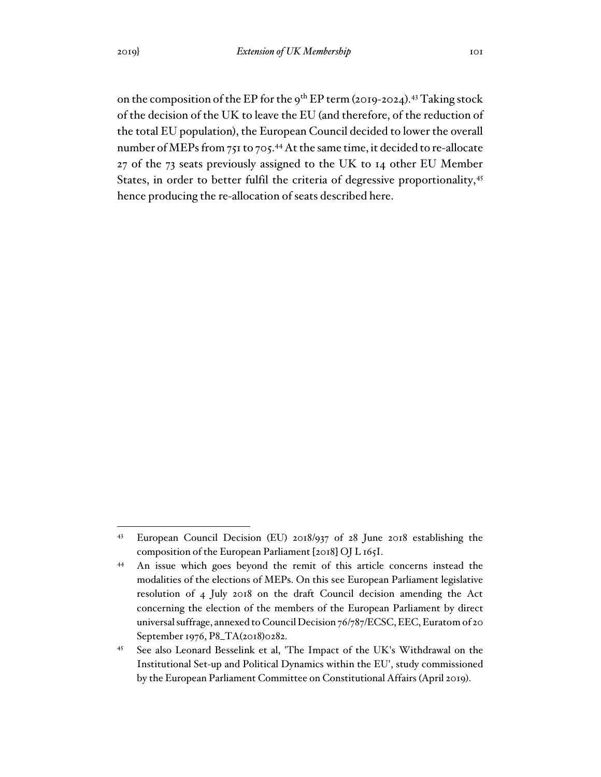on the composition of the EP for the 9<sup>th</sup> EP term (2019-2024).<sup>43</sup> Taking stock of the decision of the UK to leave the EU (and therefore, of the reduction of the total EU population), the European Council decided to lower the overall number of MEPs from 751 to 705.<sup>44</sup> At the same time, it decided to re-allocate 27 of the 73 seats previously assigned to the UK to 14 other EU Member States, in order to better fulfil the criteria of degressive proportionality,<sup>45</sup> hence producing the re-allocation of seats described here.

<sup>43</sup> European Council Decision (EU) 2018/937 of 28 June 2018 establishing the composition of the European Parliament [2018] OJ L 165I.

<sup>44</sup> An issue which goes beyond the remit of this article concerns instead the modalities of the elections of MEPs. On this see European Parliament legislative resolution of 4 July 2018 on the draft Council decision amending the Act concerning the election of the members of the European Parliament by direct universal suffrage, annexed to Council Decision 76/787/ECSC, EEC, Euratom of 20 September 1976, P8\_TA(2018)0282.

<sup>45</sup> See also Leonard Besselink et al, 'The Impact of the UK's Withdrawal on the Institutional Set-up and Political Dynamics within the EU', study commissioned by the European Parliament Committee on Constitutional Affairs (April 2019).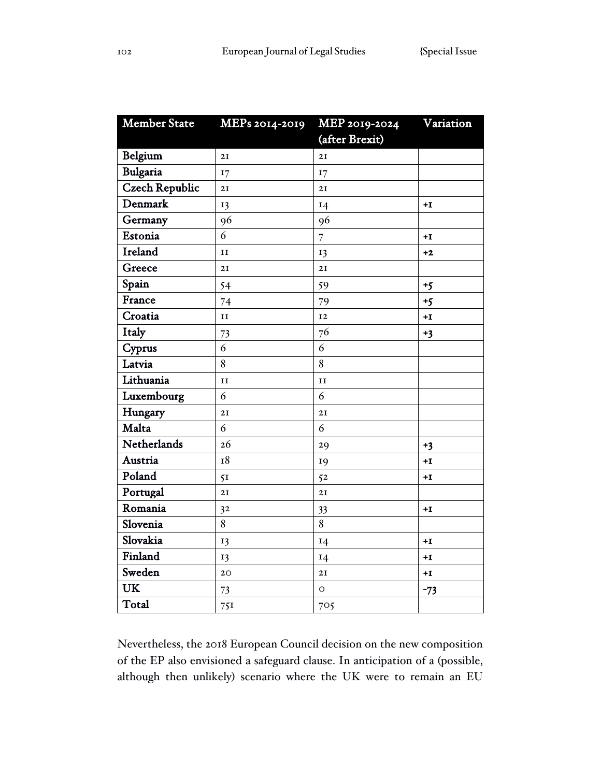| <b>Member State</b>   | MEPs 2014-2019 | MEP 2019-2024  | Variation |
|-----------------------|----------------|----------------|-----------|
|                       |                | (after Brexit) |           |
| Belgium               | 2I             | 2I             |           |
| <b>Bulgaria</b>       | 17             | 17             |           |
| <b>Czech Republic</b> | 2I             | 2I             |           |
| Denmark               | 13             | 14             | $+I$      |
| Germany               | 96             | 96             |           |
| Estonia               | 6              | $\overline{7}$ | $+I$      |
| <b>Ireland</b>        | II             | 13             | $+2$      |
| Greece                | 2I             | 2I             |           |
| Spain                 | 54             | 59             | $+5$      |
| France                | 74             | 79             | $+5$      |
| Croatia               | II             | 12             | $+I$      |
| Italy                 | 73             | 76             | $+3$      |
| Cyprus                | 6              | 6              |           |
| Latvia                | 8              | 8              |           |
| Lithuania             | II             | II             |           |
| Luxembourg            | 6              | 6              |           |
| Hungary               | 2I             | 2I             |           |
| Malta                 | 6              | 6              |           |
| Netherlands           | 26             | 29             | $+3$      |
| Austria               | 18             | 19             | $+I$      |
| Poland                | 51             | 52             | $+1$      |
| Portugal              | 2I             | 2I             |           |
| Romania               | 3 <sup>2</sup> | 33             | $+1$      |
| Slovenia              | 8              | 8              |           |
| Slovakia              | 13             | 14             | $+I$      |
| Finland               | 13             | 14             | $+I$      |
| Sweden                | 20             | 2I             | $+I$      |
| <b>UK</b>             | 73             | $\circ$        | $-73$     |
| Total                 | 75I            | 705            |           |

Nevertheless, the 2018 European Council decision on the new composition of the EP also envisioned a safeguard clause. In anticipation of a (possible, although then unlikely) scenario where the UK were to remain an EU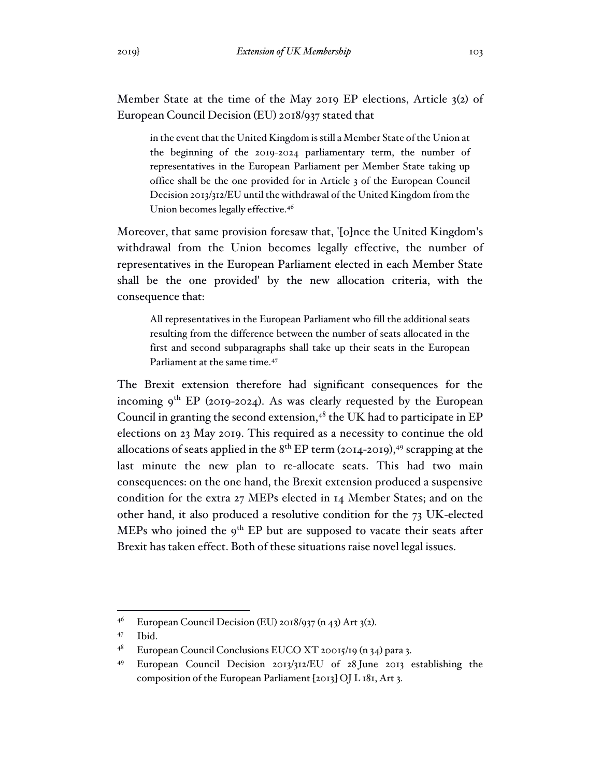Member State at the time of the May 2019 EP elections, Article 3(2) of European Council Decision (EU) 2018/937 stated that

in the event that the United Kingdom is still a Member State of the Union at the beginning of the 2019-2024 parliamentary term, the number of representatives in the European Parliament per Member State taking up office shall be the one provided for in Article 3 of the European Council Decision 2013/312/EU until the withdrawal of the United Kingdom from the Union becomes legally effective.<sup>46</sup>

Moreover, that same provision foresaw that, '[o]nce the United Kingdom's withdrawal from the Union becomes legally effective, the number of representatives in the European Parliament elected in each Member State shall be the one provided' by the new allocation criteria, with the consequence that:

All representatives in the European Parliament who fill the additional seats resulting from the difference between the number of seats allocated in the first and second subparagraphs shall take up their seats in the European Parliament at the same time.<sup>47</sup>

The Brexit extension therefore had significant consequences for the incoming  $9^{th}$  EP (2019-2024). As was clearly requested by the European Council in granting the second extension, $4^8$  the UK had to participate in EP elections on 23 May 2019. This required as a necessity to continue the old allocations of seats applied in the  $8<sup>th</sup>$  EP term (2014-2019),<sup>49</sup> scrapping at the last minute the new plan to re-allocate seats. This had two main consequences: on the one hand, the Brexit extension produced a suspensive condition for the extra 27 MEPs elected in 14 Member States; and on the other hand, it also produced a resolutive condition for the 73 UK-elected MEPs who joined the 9<sup>th</sup> EP but are supposed to vacate their seats after Brexit has taken effect. Both of these situations raise novel legal issues.

<sup>&</sup>lt;sup>46</sup> European Council Decision (EU) 2018/937 (n 43) Art 3(2).

<sup>47</sup> Ibid.

<sup>48</sup> European Council Conclusions EUCO XT 20015/19 (n 34) para 3.

<sup>49</sup> European Council Decision 2013/312/EU of 28 June 2013 establishing the composition of the European Parliament [2013] OJ L 181, Art 3.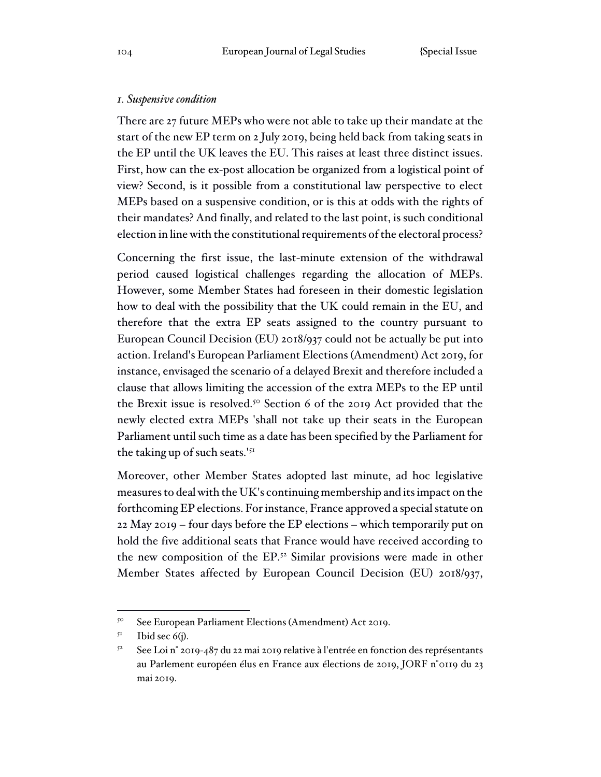#### *1. Suspensive condition*

There are 27 future MEPs who were not able to take up their mandate at the start of the new EP term on 2 July 2019, being held back from taking seats in the EP until the UK leaves the EU. This raises at least three distinct issues. First, how can the ex-post allocation be organized from a logistical point of view? Second, is it possible from a constitutional law perspective to elect MEPs based on a suspensive condition, or is this at odds with the rights of their mandates? And finally, and related to the last point, is such conditional election in line with the constitutional requirements of the electoral process?

Concerning the first issue, the last-minute extension of the withdrawal period caused logistical challenges regarding the allocation of MEPs. However, some Member States had foreseen in their domestic legislation how to deal with the possibility that the UK could remain in the EU, and therefore that the extra EP seats assigned to the country pursuant to European Council Decision (EU) 2018/937 could not be actually be put into action. Ireland's European Parliament Elections (Amendment) Act 2019, for instance, envisaged the scenario of a delayed Brexit and therefore included a clause that allows limiting the accession of the extra MEPs to the EP until the Brexit issue is resolved.<sup>50</sup> Section 6 of the 2019 Act provided that the newly elected extra MEPs 'shall not take up their seats in the European Parliament until such time as a date has been specified by the Parliament for the taking up of such seats.'<sup>51</sup>

Moreover, other Member States adopted last minute, ad hoc legislative measures to deal with the UK's continuing membership and its impact on the forthcoming EP elections. For instance, France approved a special statute on 22 May 2019 – four days before the EP elections – which temporarily put on hold the five additional seats that France would have received according to the new composition of the EP.<sup>52</sup> Similar provisions were made in other Member States affected by European Council Decision (EU) 2018/937,

<sup>50</sup> See European Parliament Elections (Amendment) Act 2019.

 $5<sup>I</sup>$  Ibid sec 6(j).

 $5^2$  See Loi n° 2019-487 du 22 mai 2019 relative à l'entrée en fonction des représentants au Parlement européen élus en France aux élections de 2019, JORF n°0119 du 23 mai 2019.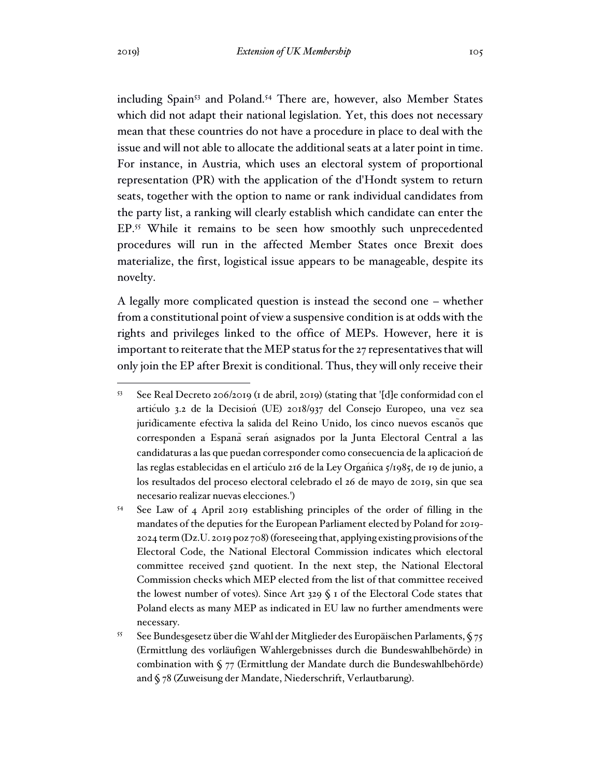including Spain<sup>53</sup> and Poland.<sup>54</sup> There are, however, also Member States which did not adapt their national legislation. Yet, this does not necessary mean that these countries do not have a procedure in place to deal with the issue and will not able to allocate the additional seats at a later point in time. For instance, in Austria, which uses an electoral system of proportional representation (PR) with the application of the d'Hondt system to return seats, together with the option to name or rank individual candidates from the party list, a ranking will clearly establish which candidate can enter the EP.<sup>55</sup> While it remains to be seen how smoothly such unprecedented procedures will run in the affected Member States once Brexit does materialize, the first, logistical issue appears to be manageable, despite its novelty.

A legally more complicated question is instead the second one – whether from a constitutional point of view a suspensive condition is at odds with the rights and privileges linked to the office of MEPs. However, here it is important to reiterate that the MEP status for the 27 representatives that will only join the EP after Brexit is conditional. Thus, they will only receive their

<sup>53</sup> See Real Decreto 206/2019 (1 de abril, 2019) (stating that '[d]e conformidad con el artículo 3.2 de la Decisión (UE) 2018/937 del Consejo Europeo, una vez sea jurídicamente efectiva la salida del Reino Unido, los cinco nuevos escaños que corresponden a España serán asignados por la Junta Electoral Central a las candidaturas a las que puedan corresponder como consecuencia de la aplicación de las reglas establecidas en el articulo 216 de la Ley Organica 5/1985, de 19 de junio, a los resultados del proceso electoral celebrado el 26 de mayo de 2019, sin que sea necesario realizar nuevas elecciones.')

<sup>54</sup> See Law of 4 April 2019 establishing principles of the order of filling in the mandates of the deputies for the European Parliament elected by Poland for 2019- 2024 term (Dz.U. 2019 poz 708) (foreseeing that, applying existing provisions of the Electoral Code, the National Electoral Commission indicates which electoral committee received 52nd quotient. In the next step, the National Electoral Commission checks which MEP elected from the list of that committee received the lowest number of votes). Since Art 329 § 1 of the Electoral Code states that Poland elects as many MEP as indicated in EU law no further amendments were necessary.

<sup>&</sup>lt;sup>55</sup> See Bundesgesetz über die Wahl der Mitglieder des Europäischen Parlaments,  $\sqrt[6]{75}$ (Ermittlung des vorläufigen Wahlergebnisses durch die Bundeswahlbehörde) in combination with § 77 (Ermittlung der Mandate durch die Bundeswahlbehörde) and § 78 (Zuweisung der Mandate, Niederschrift, Verlautbarung).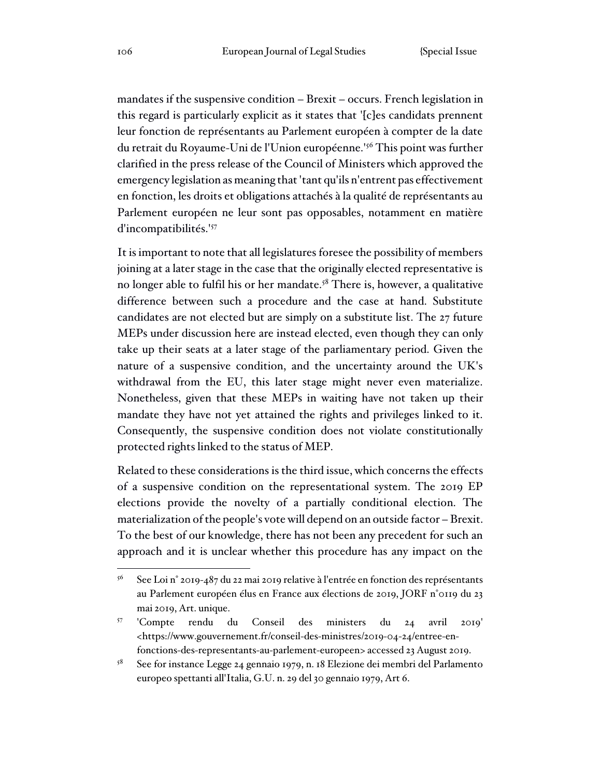mandates if the suspensive condition – Brexit – occurs. French legislation in this regard is particularly explicit as it states that '[c]es candidats prennent leur fonction de représentants au Parlement européen à compter de la date du retrait du Royaume-Uni de l'Union européenne.'<sup>56</sup> This point was further clarified in the press release of the Council of Ministers which approved the emergency legislation as meaning that 'tant qu'ils n'entrent pas effectivement en fonction, les droits et obligations attachés à la qualité de représentants au Parlement européen ne leur sont pas opposables, notamment en matière d'incompatibilités.'<sup>57</sup>

It is important to note that all legislatures foresee the possibility of members joining at a later stage in the case that the originally elected representative is no longer able to fulfil his or her mandate.<sup>58</sup> There is, however, a qualitative difference between such a procedure and the case at hand. Substitute candidates are not elected but are simply on a substitute list. The 27 future MEPs under discussion here are instead elected, even though they can only take up their seats at a later stage of the parliamentary period. Given the nature of a suspensive condition, and the uncertainty around the UK's withdrawal from the EU, this later stage might never even materialize. Nonetheless, given that these MEPs in waiting have not taken up their mandate they have not yet attained the rights and privileges linked to it. Consequently, the suspensive condition does not violate constitutionally protected rights linked to the status of MEP.

Related to these considerations is the third issue, which concerns the effects of a suspensive condition on the representational system. The 2019 EP elections provide the novelty of a partially conditional election. The materialization of the people's vote will depend on an outside factor – Brexit. To the best of our knowledge, there has not been any precedent for such an approach and it is unclear whether this procedure has any impact on the

 $56$  See Loi n° 2019-487 du 22 mai 2019 relative à l'entrée en fonction des représentants au Parlement européen élus en France aux élections de 2019, JORF n°0119 du 23 mai 2019, Art. unique.

<sup>57</sup> 'Compte rendu du Conseil des ministers du 24 avril 2019' <https://www.gouvernement.fr/conseil-des-ministres/2019-04-24/entree-enfonctions-des-representants-au-parlement-europeen> accessed 23 August 2019.

<sup>58</sup> See for instance Legge 24 gennaio 1979, n. 18 Elezione dei membri del Parlamento europeo spettanti all'Italia, G.U. n. 29 del 30 gennaio 1979, Art 6.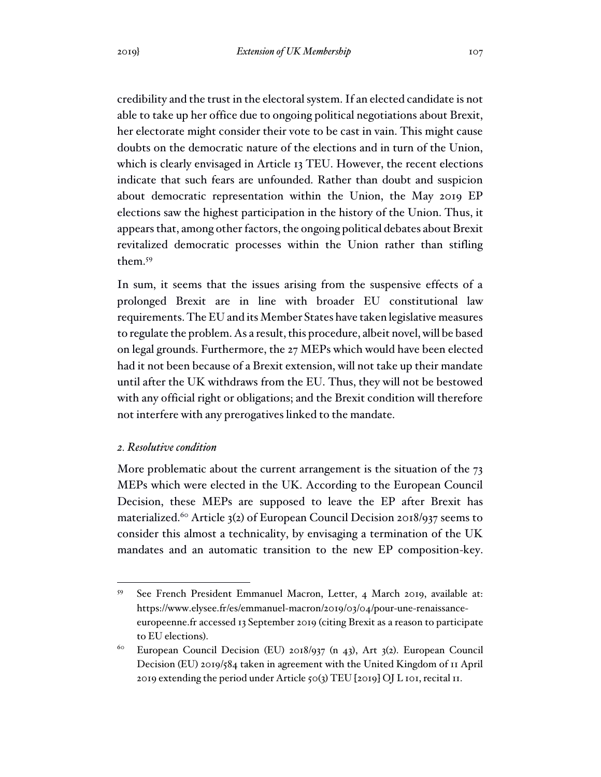credibility and the trust in the electoral system. If an elected candidate is not able to take up her office due to ongoing political negotiations about Brexit, her electorate might consider their vote to be cast in vain. This might cause doubts on the democratic nature of the elections and in turn of the Union, which is clearly envisaged in Article 13 TEU. However, the recent elections indicate that such fears are unfounded. Rather than doubt and suspicion about democratic representation within the Union, the May 2019 EP elections saw the highest participation in the history of the Union. Thus, it appears that, among other factors, the ongoing political debates about Brexit revitalized democratic processes within the Union rather than stifling them.<sup>59</sup>

In sum, it seems that the issues arising from the suspensive effects of a prolonged Brexit are in line with broader EU constitutional law requirements. The EU and its Member States have taken legislative measures to regulate the problem. As a result, this procedure, albeit novel, will be based on legal grounds. Furthermore, the 27 MEPs which would have been elected had it not been because of a Brexit extension, will not take up their mandate until after the UK withdraws from the EU. Thus, they will not be bestowed with any official right or obligations; and the Brexit condition will therefore not interfere with any prerogatives linked to the mandate.

### *2. Resolutive condition*

More problematic about the current arrangement is the situation of the 73 MEPs which were elected in the UK. According to the European Council Decision, these MEPs are supposed to leave the EP after Brexit has materialized.<sup>60</sup> Article 3(2) of European Council Decision 2018/937 seems to consider this almost a technicality, by envisaging a termination of the UK mandates and an automatic transition to the new EP composition-key.

<sup>59</sup> See French President Emmanuel Macron, Letter, 4 March 2019, available at: https://www.elysee.fr/es/emmanuel-macron/2019/03/04/pour-une-renaissanceeuropeenne.fr accessed 13 September 2019 (citing Brexit as a reason to participate to EU elections).

<sup>60</sup> European Council Decision (EU) 2018/937 (n 43), Art 3(2). European Council Decision (EU) 2019/584 taken in agreement with the United Kingdom of 11 April 2019 extending the period under Article 50(3) TEU [2019] OJ L 101, recital 11.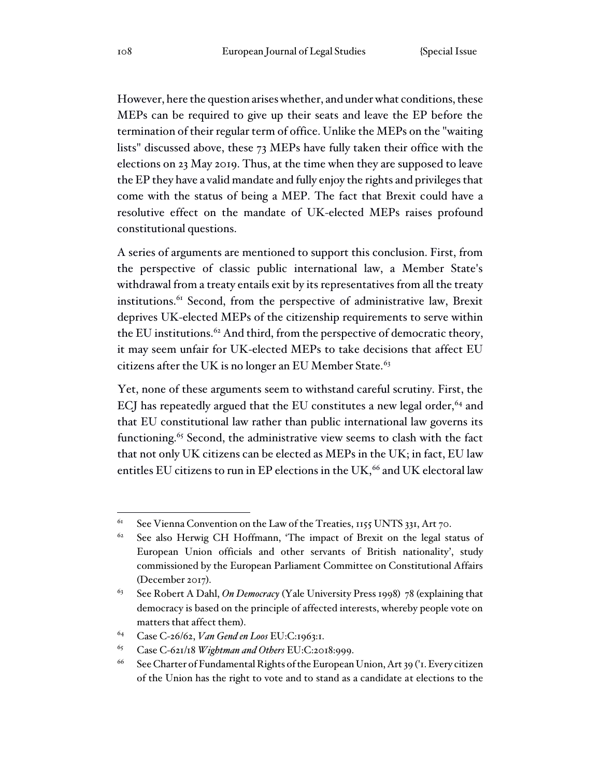However, here the question arises whether, and under what conditions, these MEPs can be required to give up their seats and leave the EP before the termination of their regular term of office. Unlike the MEPs on the "waiting lists" discussed above, these 73 MEPs have fully taken their office with the elections on 23 May 2019. Thus, at the time when they are supposed to leave the EP they have a valid mandate and fully enjoy the rights and privileges that come with the status of being a MEP. The fact that Brexit could have a resolutive effect on the mandate of UK-elected MEPs raises profound constitutional questions.

A series of arguments are mentioned to support this conclusion. First, from the perspective of classic public international law, a Member State's withdrawal from a treaty entails exit by its representatives from all the treaty institutions.<sup>61</sup> Second, from the perspective of administrative law, Brexit deprives UK-elected MEPs of the citizenship requirements to serve within the EU institutions.<sup>62</sup> And third, from the perspective of democratic theory, it may seem unfair for UK-elected MEPs to take decisions that affect EU citizens after the UK is no longer an EU Member State.<sup>63</sup>

Yet, none of these arguments seem to withstand careful scrutiny. First, the ECJ has repeatedly argued that the EU constitutes a new legal order,  $64$  and that EU constitutional law rather than public international law governs its functioning.<sup>65</sup> Second, the administrative view seems to clash with the fact that not only UK citizens can be elected as MEPs in the UK; in fact, EU law entitles EU citizens to run in EP elections in the UK, $^{66}$  and UK electoral law

 $61$  See Vienna Convention on the Law of the Treaties, 1155 UNTS 331, Art 70.

<sup>&</sup>lt;sup>62</sup> See also Herwig CH Hoffmann, 'The impact of Brexit on the legal status of European Union officials and other servants of British nationality', study commissioned by the European Parliament Committee on Constitutional Affairs (December 2017).

<sup>63</sup> See Robert A Dahl, *On Democracy* (Yale University Press 1998) 78 (explaining that democracy is based on the principle of affected interests, whereby people vote on matters that affect them).

<sup>64</sup> Case C-26/62, *Van Gend en Loos* EU:C:1963:1.

<sup>65</sup> Case C-621/18 *Wightman and Others* EU:C:2018:999.

<sup>&</sup>lt;sup>66</sup> See Charter of Fundamental Rights of the European Union, Art 39 ('I. Every citizen of the Union has the right to vote and to stand as a candidate at elections to the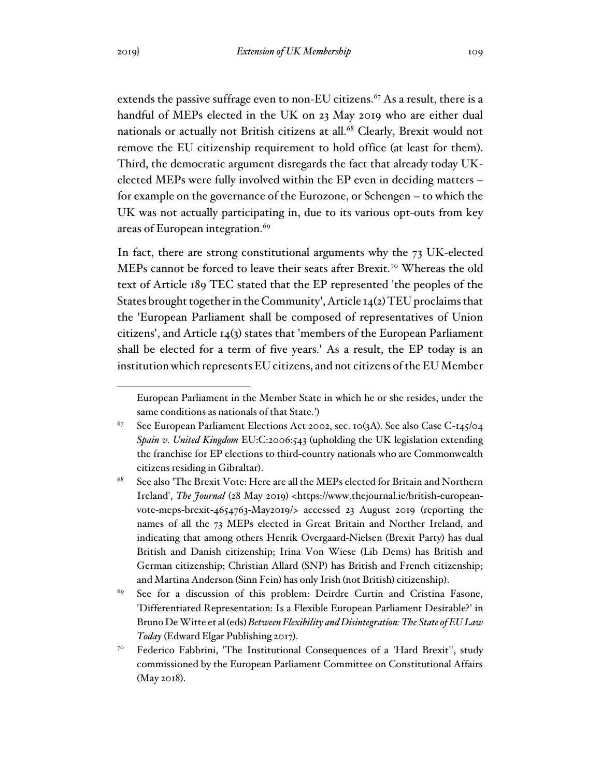extends the passive suffrage even to non-EU citizens.<sup>67</sup> As a result, there is a handful of MEPs elected in the UK on 23 May 2019 who are either dual nationals or actually not British citizens at all.<sup>68</sup> Clearly, Brexit would not remove the EU citizenship requirement to hold office (at least for them). Third, the democratic argument disregards the fact that already today UKelected MEPs were fully involved within the EP even in deciding matters – for example on the governance of the Eurozone, or Schengen – to which the UK was not actually participating in, due to its various opt-outs from key areas of European integration.<sup>69</sup>

In fact, there are strong constitutional arguments why the 73 UK-elected MEPs cannot be forced to leave their seats after Brexit.<sup>70</sup> Whereas the old text of Article 189 TEC stated that the EP represented 'the peoples of the States brought together in the Community', Article 14(2) TEU proclaims that the 'European Parliament shall be composed of representatives of Union citizens', and Article 14(3) states that 'members of the European Parliament shall be elected for a term of five years.' As a result, the EP today is an institution which represents EU citizens, and not citizens of the EU Member

European Parliament in the Member State in which he or she resides, under the same conditions as nationals of that State.')

 $67$  See European Parliament Elections Act 2002, sec. 10(3A). See also Case C-145/04 *Spain v. United Kingdom* EU:C:2006:543 (upholding the UK legislation extending the franchise for EP elections to third-country nationals who are Commonwealth citizens residing in Gibraltar).

<sup>68</sup> See also 'The Brexit Vote: Here are all the MEPs elected for Britain and Northern Ireland', *The Journal* (28 May 2019) <https://www.thejournal.ie/british-europeanvote-meps-brexit-4654763-May2019/> accessed 23 August 2019 (reporting the names of all the 73 MEPs elected in Great Britain and Norther Ireland, and indicating that among others Henrik Overgaard-Nielsen (Brexit Party) has dual British and Danish citizenship; Irina Von Wiese (Lib Dems) has British and German citizenship; Christian Allard (SNP) has British and French citizenship; and Martina Anderson (Sinn Fein) has only Irish (not British) citizenship).

<sup>&</sup>lt;sup>69</sup> See for a discussion of this problem: Deirdre Curtin and Cristina Fasone, 'Differentiated Representation: Is a Flexible European Parliament Desirable?' in Bruno De Witte et al (eds) *Between Flexibility and Disintegration: The State of EU Law Today* (Edward Elgar Publishing 2017).

<sup>&</sup>lt;sup>70</sup> Federico Fabbrini, 'The Institutional Consequences of a 'Hard Brexit'', study commissioned by the European Parliament Committee on Constitutional Affairs (May 2018).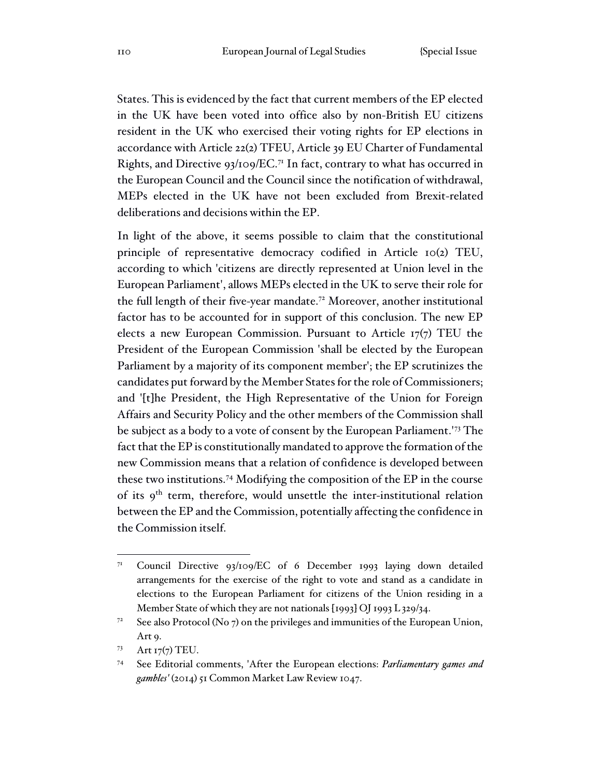States. This is evidenced by the fact that current members of the EP elected in the UK have been voted into office also by non-British EU citizens resident in the UK who exercised their voting rights for EP elections in accordance with Article 22(2) TFEU, Article 39 EU Charter of Fundamental Rights, and Directive  $93/109/EC$ .<sup>71</sup> In fact, contrary to what has occurred in the European Council and the Council since the notification of withdrawal, MEPs elected in the UK have not been excluded from Brexit-related deliberations and decisions within the EP.

In light of the above, it seems possible to claim that the constitutional principle of representative democracy codified in Article 10(2) TEU, according to which 'citizens are directly represented at Union level in the European Parliament', allows MEPs elected in the UK to serve their role for the full length of their five-year mandate.<sup>72</sup> Moreover, another institutional factor has to be accounted for in support of this conclusion. The new EP elects a new European Commission. Pursuant to Article 17(7) TEU the President of the European Commission 'shall be elected by the European Parliament by a majority of its component member'; the EP scrutinizes the candidates put forward by the Member States for the role of Commissioners; and '[t]he President, the High Representative of the Union for Foreign Affairs and Security Policy and the other members of the Commission shall be subject as a body to a vote of consent by the European Parliament.'<sup>73</sup> The fact that the EP is constitutionally mandated to approve the formation of the new Commission means that a relation of confidence is developed between these two institutions.<sup>74</sup> Modifying the composition of the EP in the course of its 9<sup>th</sup> term, therefore, would unsettle the inter-institutional relation between the EP and the Commission, potentially affecting the confidence in the Commission itself.

<sup>&</sup>lt;sup>71</sup> Council Directive 93/109/EC of 6 December 1993 laying down detailed arrangements for the exercise of the right to vote and stand as a candidate in elections to the European Parliament for citizens of the Union residing in a Member State of which they are not nationals [1993] OJ 1993 L 329/34.

<sup>&</sup>lt;sup>72</sup> See also Protocol (No 7) on the privileges and immunities of the European Union, Art 9.

<sup>73</sup> Art  $I7(7)$  TEU.

<sup>74</sup> See Editorial comments, 'After the European elections: *Parliamentary games and gambles'* (2014) 51 Common Market Law Review 1047.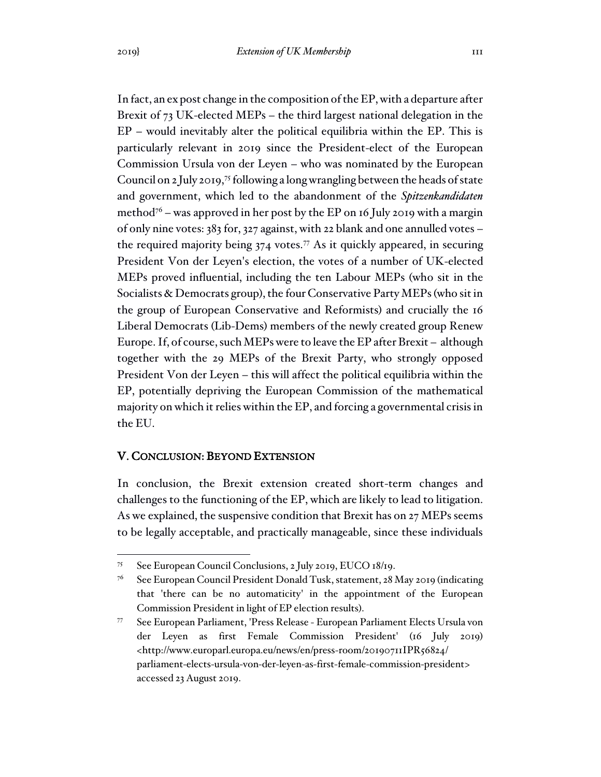In fact, an ex post change in the composition of the EP, with a departure after Brexit of 73 UK-elected MEPs – the third largest national delegation in the EP – would inevitably alter the political equilibria within the EP. This is particularly relevant in 2019 since the President-elect of the European Commission Ursula von der Leyen – who was nominated by the European Council on 2 July 2019,<sup>75</sup> following a long wrangling between the heads of state and government, which led to the abandonment of the *Spitzenkandidaten* method<sup> $76$ </sup> – was approved in her post by the EP on 16 July 2019 with a margin of only nine votes: 383 for, 327 against, with 22 blank and one annulled votes – the required majority being  $374$  votes.<sup>77</sup> As it quickly appeared, in securing President Von der Leyen's election, the votes of a number of UK-elected MEPs proved influential, including the ten Labour MEPs (who sit in the Socialists & Democrats group), the four Conservative Party MEPs (who sit in the group of European Conservative and Reformists) and crucially the 16 Liberal Democrats (Lib-Dems) members of the newly created group Renew Europe. If, of course, such MEPs were to leave the EP after Brexit – although together with the 29 MEPs of the Brexit Party, who strongly opposed President Von der Leyen – this will affect the political equilibria within the EP, potentially depriving the European Commission of the mathematical majority on which it relies within the EP, and forcing a governmental crisis in

#### the EU.

#### V. CONCLUSION: BEYOND EXTENSION

In conclusion, the Brexit extension created short-term changes and challenges to the functioning of the EP, which are likely to lead to litigation. As we explained, the suspensive condition that Brexit has on 27 MEPs seems to be legally acceptable, and practically manageable, since these individuals

<sup>75</sup> See European Council Conclusions, 2 July 2019, EUCO 18/19.

<sup>76</sup> See European Council President Donald Tusk, statement, 28 May 2019 (indicating that 'there can be no automaticity' in the appointment of the European Commission President in light of EP election results).

<sup>77</sup> See European Parliament, 'Press Release - European Parliament Elects Ursula von der Leyen as first Female Commission President' (16 July 2019) <http://www.europarl.europa.eu/news/en/press-room/20190711IPR56824/ parliament-elects-ursula-von-der-leyen-as-first-female-commission-president> accessed 23 August 2019.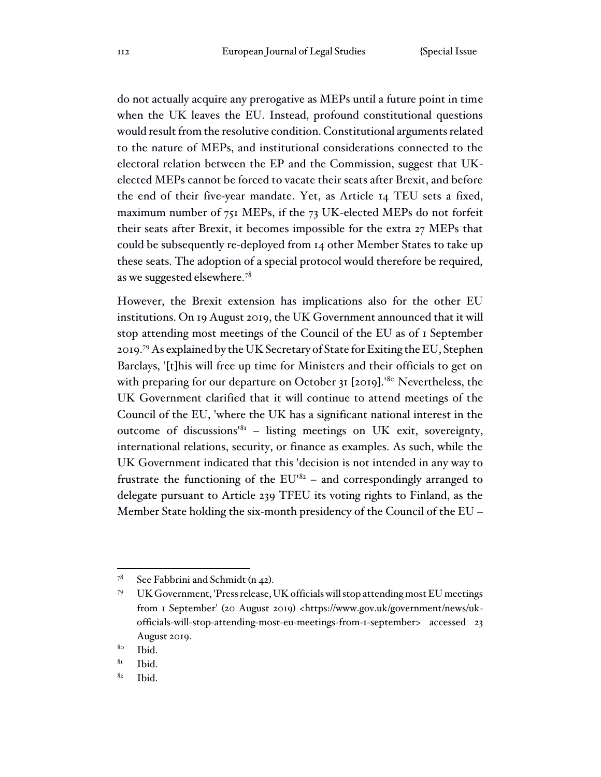do not actually acquire any prerogative as MEPs until a future point in time when the UK leaves the EU. Instead, profound constitutional questions would result from the resolutive condition. Constitutional arguments related to the nature of MEPs, and institutional considerations connected to the electoral relation between the EP and the Commission, suggest that UKelected MEPs cannot be forced to vacate their seats after Brexit, and before the end of their five-year mandate. Yet, as Article 14 TEU sets a fixed, maximum number of 751 MEPs, if the 73 UK-elected MEPs do not forfeit their seats after Brexit, it becomes impossible for the extra 27 MEPs that could be subsequently re-deployed from 14 other Member States to take up these seats. The adoption of a special protocol would therefore be required, as we suggested elsewhere.<sup>78</sup>

However, the Brexit extension has implications also for the other EU institutions. On 19 August 2019, the UK Government announced that it will stop attending most meetings of the Council of the EU as of 1 September 2019.<sup>79</sup> As explained by the UK Secretary of State for Exiting the EU, Stephen Barclays, '[t]his will free up time for Ministers and their officials to get on with preparing for our departure on October 31 [2019].<sup>'80</sup> Nevertheless, the UK Government clarified that it will continue to attend meetings of the Council of the EU, 'where the UK has a significant national interest in the outcome of discussions<sup>'81</sup> – listing meetings on UK exit, sovereignty, international relations, security, or finance as examples. As such, while the UK Government indicated that this 'decision is not intended in any way to frustrate the functioning of the  $EU^{182}$  – and correspondingly arranged to delegate pursuant to Article 239 TFEU its voting rights to Finland, as the Member State holding the six-month presidency of the Council of the EU –

 $7^8$  See Fabbrini and Schmidt (n 42).

<sup>79</sup> UK Government, 'Press release, UK officials will stop attending most EU meetings from 1 September' (20 August 2019) <https://www.gov.uk/government/news/ukofficials-will-stop-attending-most-eu-meetings-from-1-september> accessed 23 August 2019.

<sup>80</sup> Ibid.

 $8I$  Ibid.

 $82$  Ibid.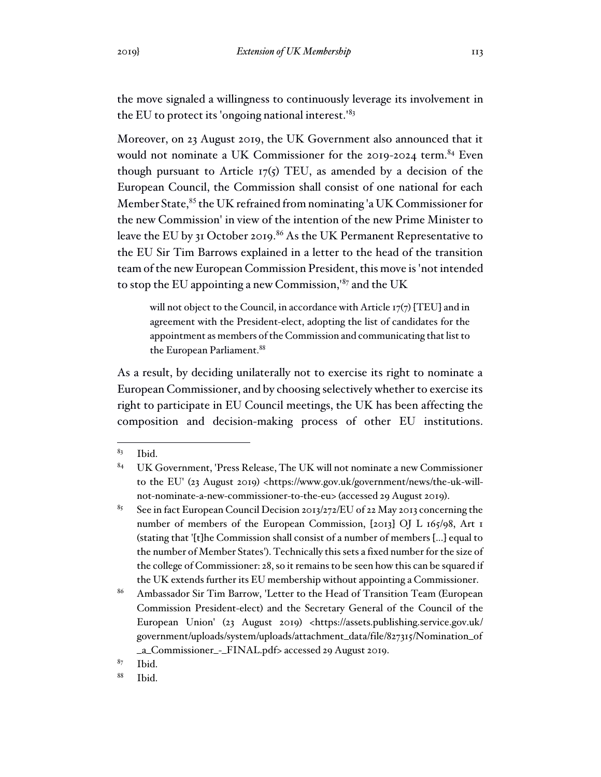the move signaled a willingness to continuously leverage its involvement in the EU to protect its 'ongoing national interest.'<sup>83</sup>

Moreover, on 23 August 2019, the UK Government also announced that it would not nominate a UK Commissioner for the 2019-2024 term.<sup>84</sup> Even though pursuant to Article  $17(5)$  TEU, as amended by a decision of the European Council, the Commission shall consist of one national for each Member State,<sup>85</sup> the UK refrained from nominating 'a UK Commissioner for the new Commission' in view of the intention of the new Prime Minister to leave the EU by 31 October 2019.<sup>86</sup> As the UK Permanent Representative to the EU Sir Tim Barrows explained in a letter to the head of the transition team of the new European Commission President, this move is 'not intended to stop the EU appointing a new Commission,'<sup>87</sup> and the UK

will not object to the Council, in accordance with Article  $17(7)$  [TEU] and in agreement with the President-elect, adopting the list of candidates for the appointment as members of the Commission and communicating that list to the European Parliament.<sup>88</sup>

As a result, by deciding unilaterally not to exercise its right to nominate a European Commissioner, and by choosing selectively whether to exercise its right to participate in EU Council meetings, the UK has been affecting the composition and decision-making process of other EU institutions.

 $87$  Ibid.

<sup>88</sup> Ibid.

 $83$  Ibid.

<sup>84</sup> UK Government, 'Press Release, The UK will not nominate a new Commissioner to the EU' (23 August 2019) <https://www.gov.uk/government/news/the-uk-willnot-nominate-a-new-commissioner-to-the-eu> (accessed 29 August 2019).

<sup>&</sup>lt;sup>85</sup> See in fact European Council Decision 2013/272/EU of 22 May 2013 concerning the number of members of the European Commission, [2013] OJ L 165/98, Art 1 (stating that '[t]he Commission shall consist of a number of members [...] equal to the number of Member States'). Technically this sets a fixed number for the size of the college of Commissioner: 28, so it remains to be seen how this can be squared if the UK extends further its EU membership without appointing a Commissioner.

<sup>86</sup> Ambassador Sir Tim Barrow, 'Letter to the Head of Transition Team (European Commission President-elect) and the Secretary General of the Council of the European Union' (23 August 2019) <https://assets.publishing.service.gov.uk/ government/uploads/system/uploads/attachment\_data/file/827315/Nomination\_of \_a\_Commissioner\_-\_FINAL.pdf> accessed 29 August 2019.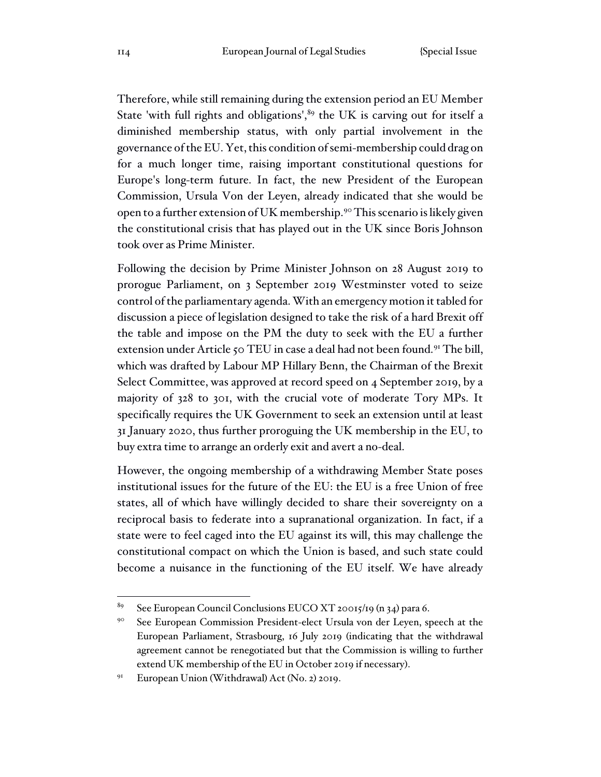Therefore, while still remaining during the extension period an EU Member State 'with full rights and obligations', $89$  the UK is carving out for itself a diminished membership status, with only partial involvement in the governance of the EU. Yet, this condition of semi-membership could drag on for a much longer time, raising important constitutional questions for Europe's long-term future. In fact, the new President of the European Commission, Ursula Von der Leyen, already indicated that she would be open to a further extension of UK membership.<sup>90</sup> This scenario is likely given the constitutional crisis that has played out in the UK since Boris Johnson took over as Prime Minister.

Following the decision by Prime Minister Johnson on 28 August 2019 to prorogue Parliament, on 3 September 2019 Westminster voted to seize control of the parliamentary agenda. With an emergency motion it tabled for discussion a piece of legislation designed to take the risk of a hard Brexit off the table and impose on the PM the duty to seek with the EU a further extension under Article 50 TEU in case a deal had not been found.<sup>91</sup> The bill, which was drafted by Labour MP Hillary Benn, the Chairman of the Brexit Select Committee, was approved at record speed on 4 September 2019, by a majority of 328 to 301, with the crucial vote of moderate Tory MPs. It specifically requires the UK Government to seek an extension until at least 31 January 2020, thus further proroguing the UK membership in the EU, to buy extra time to arrange an orderly exit and avert a no-deal.

However, the ongoing membership of a withdrawing Member State poses institutional issues for the future of the EU: the EU is a free Union of free states, all of which have willingly decided to share their sovereignty on a reciprocal basis to federate into a supranational organization. In fact, if a state were to feel caged into the EU against its will, this may challenge the constitutional compact on which the Union is based, and such state could become a nuisance in the functioning of the EU itself. We have already

<sup>&</sup>lt;sup>89</sup> See European Council Conclusions EUCO XT 20015/19 (n 34) para 6.

<sup>90</sup> See European Commission President-elect Ursula von der Leyen, speech at the European Parliament, Strasbourg, 16 July 2019 (indicating that the withdrawal agreement cannot be renegotiated but that the Commission is willing to further extend UK membership of the EU in October 2019 if necessary).

<sup>&</sup>lt;sup>91</sup> European Union (Withdrawal) Act (No. 2) 2019.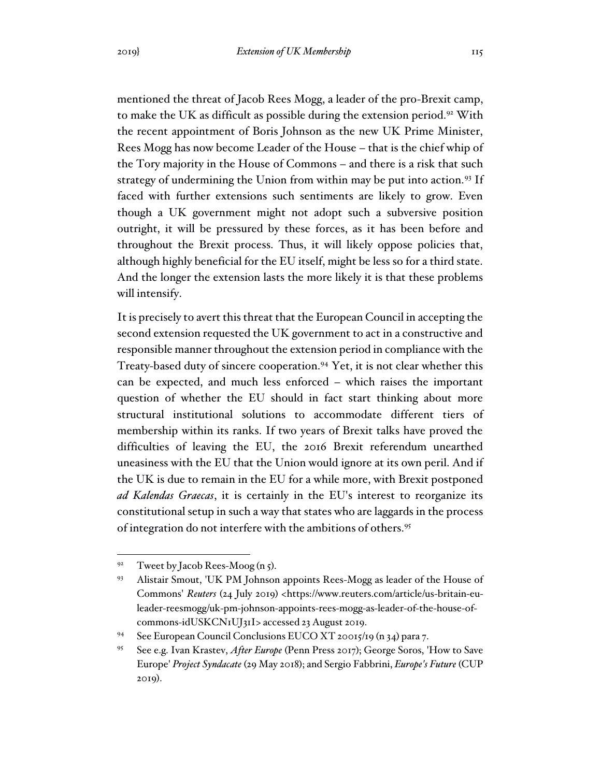mentioned the threat of Jacob Rees Mogg, a leader of the pro-Brexit camp, to make the UK as difficult as possible during the extension period.<sup>92</sup> With the recent appointment of Boris Johnson as the new UK Prime Minister, Rees Mogg has now become Leader of the House – that is the chief whip of the Tory majority in the House of Commons – and there is a risk that such strategy of undermining the Union from within may be put into action.<sup>93</sup> If faced with further extensions such sentiments are likely to grow. Even though a UK government might not adopt such a subversive position outright, it will be pressured by these forces, as it has been before and throughout the Brexit process. Thus, it will likely oppose policies that, although highly beneficial for the EU itself, might be less so for a third state. And the longer the extension lasts the more likely it is that these problems will intensify.

It is precisely to avert this threat that the European Council in accepting the second extension requested the UK government to act in a constructive and responsible manner throughout the extension period in compliance with the Treaty-based duty of sincere cooperation.<sup>94</sup> Yet, it is not clear whether this can be expected, and much less enforced – which raises the important question of whether the EU should in fact start thinking about more structural institutional solutions to accommodate different tiers of membership within its ranks. If two years of Brexit talks have proved the difficulties of leaving the EU, the 2016 Brexit referendum unearthed uneasiness with the EU that the Union would ignore at its own peril. And if the UK is due to remain in the EU for a while more, with Brexit postponed *ad Kalendas Graecas*, it is certainly in the EU's interest to reorganize its constitutional setup in such a way that states who are laggards in the process of integration do not interfere with the ambitions of others.<sup>95</sup>

<sup>&</sup>lt;sup>92</sup> Tweet by Jacob Rees-Moog (n 5).

<sup>93</sup> Alistair Smout, 'UK PM Johnson appoints Rees-Mogg as leader of the House of Commons' *Reuters* (24 July 2019) <https://www.reuters.com/article/us-britain-euleader-reesmogg/uk-pm-johnson-appoints-rees-mogg-as-leader-of-the-house-ofcommons-idUSKCN1UJ31I> accessed 23 August 2019.

<sup>94</sup> See European Council Conclusions EUCO XT 20015/19 (n 34) para 7.

<sup>95</sup> See e.g. Ivan Krastev, *After Europe* (Penn Press 2017); George Soros, 'How to Save Europe' *Project Syndacate* (29 May 2018); and Sergio Fabbrini, *Europe's Future* (CUP 2019).